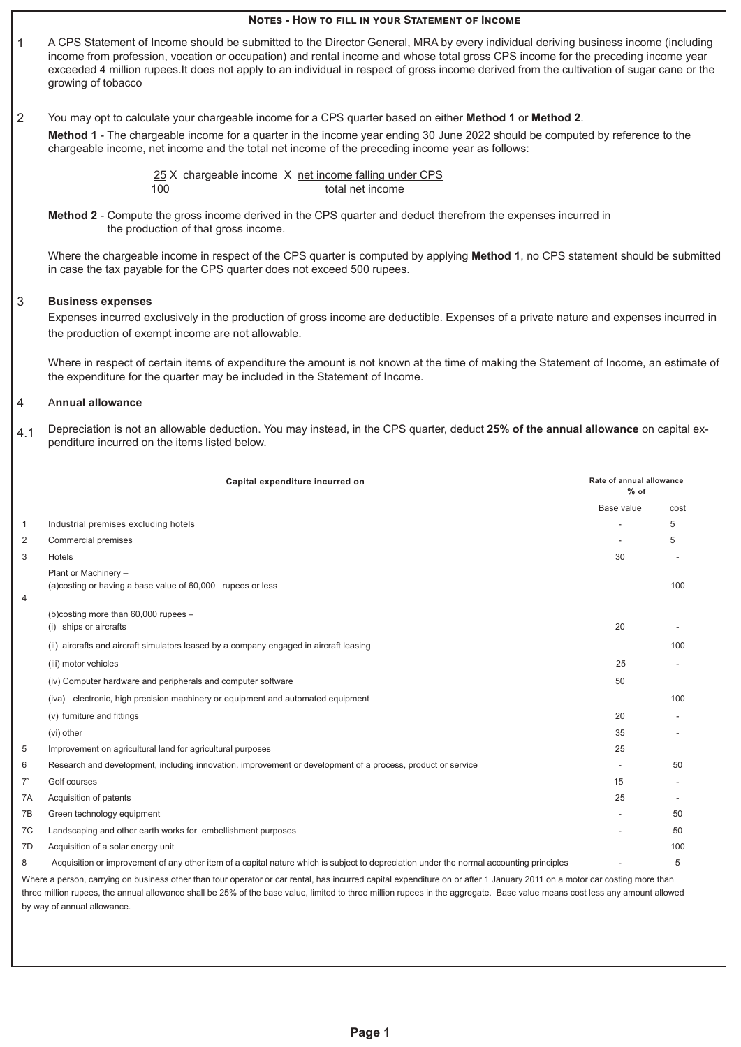# **Notes - How to fill in your Statement of Income** 1 A CPS Statement of Income should be submitted to the Director General, MRA by every individual deriving business income (including income from profession, vocation or occupation) and rental income and whose total gross CPS income for the preceding income year exceeded 4 million rupees.It does not apply to an individual in respect of gross income derived from the cultivation of sugar cane or the growing of tobacco 2 You may opt to calculate your chargeable income for a CPS quarter based on either **Method 1** or **Method 2**. **Method 1** - The chargeable income for a quarter in the income year ending 30 June 2022 should be computed by reference to the chargeable income, net income and the total net income of the preceding income year as follows: 25 X chargeable income X net income falling under CPS 100 total net income **Method 2** - Compute the gross income derived in the CPS quarter and deduct therefrom the expenses incurred in the production of that gross income. Where the chargeable income in respect of the CPS quarter is computed by applying **Method 1**, no CPS statement should be submitted in case the tax payable for the CPS quarter does not exceed 500 rupees. 3 **Business expenses** Expenses incurred exclusively in the production of gross income are deductible. Expenses of a private nature and expenses incurred in the production of exempt income are not allowable. Where in respect of certain items of expenditure the amount is not known at the time of making the Statement of Income, an estimate of the expenditure for the quarter may be included in the Statement of Income.  $\overline{\mathcal{A}}$ 4.1 A**nnual allowance** Depreciation is not an allowable deduction. You may instead, in the CPS quarter, deduct **25% of the annual allowance** on capital expenditure incurred on the items listed below. **Capital expenditure incurred on Rate of annual allowance <b>Rate of annual allowance Rate of annual allowance % of** Base value cost 1 Industrial premises excluding hotels - 5 2 Commercial premises 5 and 5 and 5 and 5 and 5 and 5 and 5 and 5 and 5 and 5 and 5 and 5 and 5 and 5 and 5 and 5 and 5 and 5 and 5 and 5 and 5 and 5 and 5 and 5 and 5 and 5 and 5 and 5 and 5 and 5 and 5 and 5 and 5 and 5 3 Hotels 30 - 4 Plant or Machinery – (a)costing or having a base value of 60,000 rupees or less 100 and the state of the state of the state 100 m state 100 m state 100 m state 100 m state 100 m state 100 m state 100 m state 100 m state 100 m state 100 m state (b)costing more than 60,000 rupees – (i) ships or aircrafts 20 - (ii) aircrafts and aircraft simulators leased by a company engaged in aircraft leasing 100 (iii) motor vehicles 25 - (iv) Computer hardware and peripherals and computer software 50 (iva) electronic, high precision machinery or equipment and automated equipment 100  $(v)$  furniture and fittings  $20$ (vi) other 35 - 5 Improvement on agricultural land for agricultural purposes 25 6 Research and development, including innovation, improvement or development of a process, product or service - 50 7` Golf courses 15 - The Acquisition of patents 25 The Streen technology equipment  $\sim$  50 7C Landscaping and other earth works for embellishment purposes - 50 7D Acquisition of a solar energy unit 100 8 Acquisition or improvement of any other item of a capital nature which is subject to depreciation under the normal accounting principles - 5 Where a person, carrying on business other than tour operator or car rental, has incurred capital expenditure on or after 1 January 2011 on a motor car costing more than three million rupees, the annual allowance shall be 25% of the base value, limited to three million rupees in the aggregate. Base value means cost less any amount allowed by way of annual allowance.